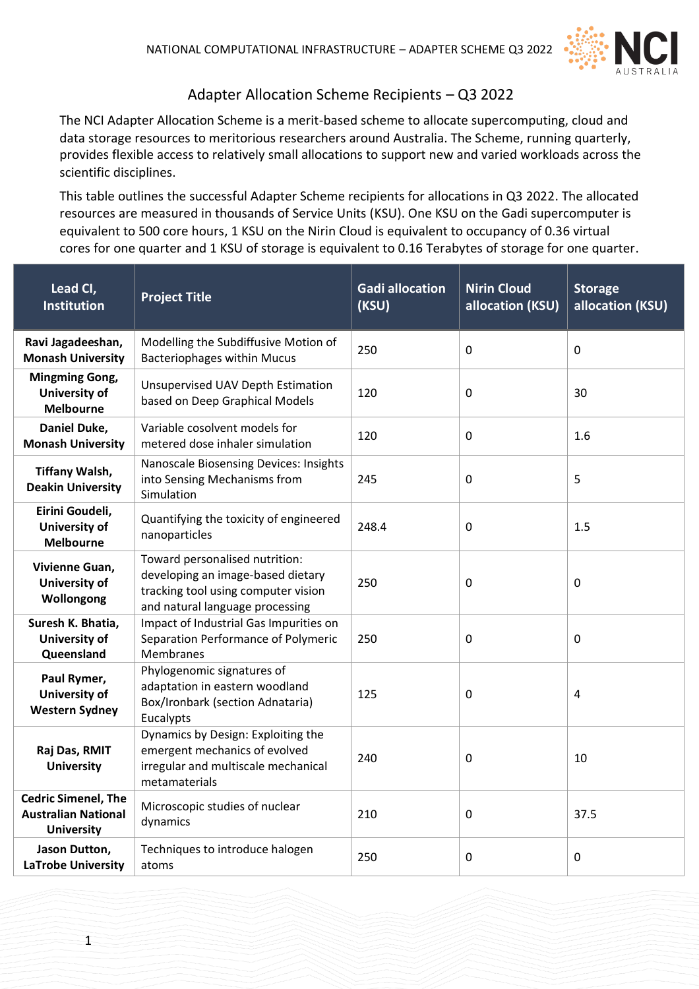

## Adapter Allocation Scheme Recipients – Q3 2022

The NCI Adapter Allocation Scheme is a merit-based scheme to allocate supercomputing, cloud and data storage resources to meritorious researchers around Australia. The Scheme, running quarterly, provides flexible access to relatively small allocations to support new and varied workloads across the scientific disciplines.

This table outlines the successful Adapter Scheme recipients for allocations in Q3 2022. The allocated resources are measured in thousands of Service Units (KSU). One KSU on the Gadi supercomputer is equivalent to 500 core hours, 1 KSU on the Nirin Cloud is equivalent to occupancy of 0.36 virtual cores for one quarter and 1 KSU of storage is equivalent to 0.16 Terabytes of storage for one quarter.

| Lead CI,<br><b>Institution</b>                                                | <b>Project Title</b>                                                                                                                          | <b>Gadi allocation</b><br>(KSU) | <b>Nirin Cloud</b><br>allocation (KSU) | <b>Storage</b><br>allocation (KSU) |
|-------------------------------------------------------------------------------|-----------------------------------------------------------------------------------------------------------------------------------------------|---------------------------------|----------------------------------------|------------------------------------|
| Ravi Jagadeeshan,<br><b>Monash University</b>                                 | Modelling the Subdiffusive Motion of<br><b>Bacteriophages within Mucus</b>                                                                    | 250                             | $\mathbf 0$                            | 0                                  |
| <b>Mingming Gong,</b><br>University of<br><b>Melbourne</b>                    | <b>Unsupervised UAV Depth Estimation</b><br>based on Deep Graphical Models                                                                    | 120                             | $\mathbf 0$                            | 30                                 |
| Daniel Duke,<br><b>Monash University</b>                                      | Variable cosolvent models for<br>metered dose inhaler simulation                                                                              | 120                             | $\mathbf 0$                            | 1.6                                |
| <b>Tiffany Walsh,</b><br><b>Deakin University</b>                             | <b>Nanoscale Biosensing Devices: Insights</b><br>into Sensing Mechanisms from<br>Simulation                                                   | 245                             | 0                                      | 5                                  |
| Eirini Goudeli,<br><b>University of</b><br><b>Melbourne</b>                   | Quantifying the toxicity of engineered<br>nanoparticles                                                                                       | 248.4                           | 0                                      | 1.5                                |
| Vivienne Guan,<br><b>University of</b><br>Wollongong                          | Toward personalised nutrition:<br>developing an image-based dietary<br>tracking tool using computer vision<br>and natural language processing | 250                             | $\mathbf 0$                            | 0                                  |
| Suresh K. Bhatia,<br><b>University of</b><br>Queensland                       | Impact of Industrial Gas Impurities on<br>Separation Performance of Polymeric<br><b>Membranes</b>                                             | 250                             | 0                                      | 0                                  |
| Paul Rymer,<br><b>University of</b><br><b>Western Sydney</b>                  | Phylogenomic signatures of<br>adaptation in eastern woodland<br>Box/Ironbark (section Adnataria)<br>Eucalypts                                 | 125                             | 0                                      | 4                                  |
| Raj Das, RMIT<br><b>University</b>                                            | Dynamics by Design: Exploiting the<br>emergent mechanics of evolved<br>irregular and multiscale mechanical<br>metamaterials                   | 240                             | 0                                      | 10                                 |
| <b>Cedric Simenel, The</b><br><b>Australian National</b><br><b>University</b> | Microscopic studies of nuclear<br>dynamics                                                                                                    | 210                             | 0                                      | 37.5                               |
| Jason Dutton,<br><b>LaTrobe University</b>                                    | Techniques to introduce halogen<br>atoms                                                                                                      | 250                             | 0                                      | 0                                  |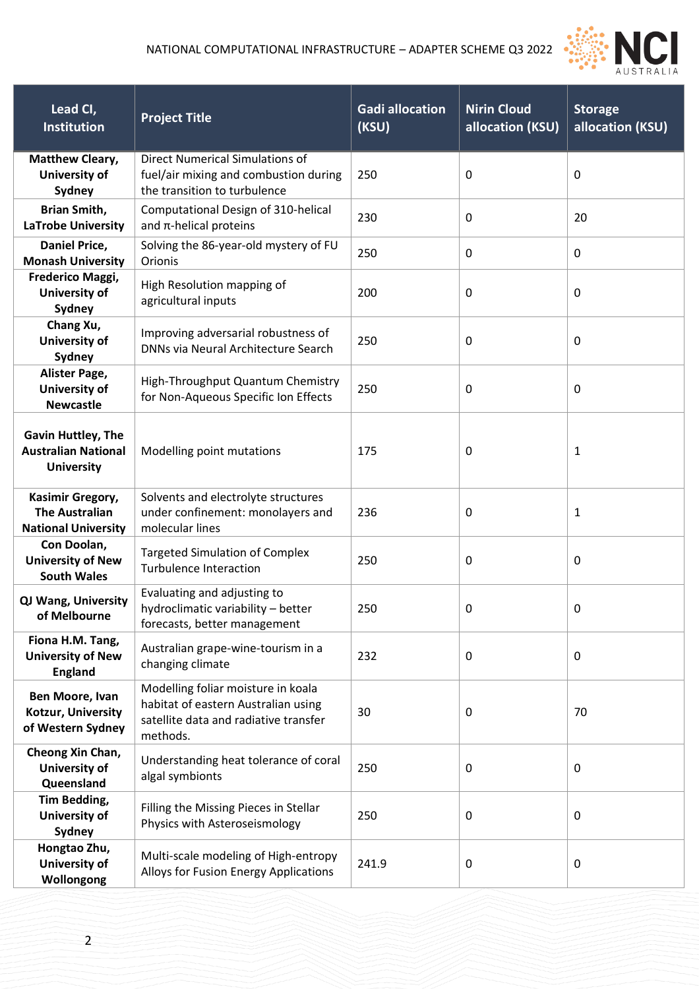

| Lead CI,<br><b>Institution</b>                                               | <b>Project Title</b>                                                                                                           | <b>Gadi allocation</b><br>(KSU) | <b>Nirin Cloud</b><br>allocation (KSU) | <b>Storage</b><br>allocation (KSU) |
|------------------------------------------------------------------------------|--------------------------------------------------------------------------------------------------------------------------------|---------------------------------|----------------------------------------|------------------------------------|
| <b>Matthew Cleary,</b><br><b>University of</b><br>Sydney                     | <b>Direct Numerical Simulations of</b><br>fuel/air mixing and combustion during<br>the transition to turbulence                | 250                             | 0                                      | 0                                  |
| <b>Brian Smith,</b><br><b>LaTrobe University</b>                             | Computational Design of 310-helical<br>and $\pi$ -helical proteins                                                             | 230                             | 0                                      | 20                                 |
| Daniel Price,<br><b>Monash University</b>                                    | Solving the 86-year-old mystery of FU<br>Orionis                                                                               | 250                             | 0                                      | 0                                  |
| Frederico Maggi,<br><b>University of</b><br>Sydney                           | High Resolution mapping of<br>agricultural inputs                                                                              | 200                             | 0                                      | 0                                  |
| Chang Xu,<br>University of<br>Sydney                                         | Improving adversarial robustness of<br>DNNs via Neural Architecture Search                                                     | 250                             | 0                                      | 0                                  |
| Alister Page,<br><b>University of</b><br><b>Newcastle</b>                    | High-Throughput Quantum Chemistry<br>for Non-Aqueous Specific Ion Effects                                                      | 250                             | 0                                      | 0                                  |
| <b>Gavin Huttley, The</b><br><b>Australian National</b><br><b>University</b> | Modelling point mutations                                                                                                      | 175                             | 0                                      | 1                                  |
| Kasimir Gregory,<br><b>The Australian</b><br><b>National University</b>      | Solvents and electrolyte structures<br>under confinement: monolayers and<br>molecular lines                                    | 236                             | 0                                      | 1                                  |
| Con Doolan,<br><b>University of New</b><br><b>South Wales</b>                | <b>Targeted Simulation of Complex</b><br><b>Turbulence Interaction</b>                                                         | 250                             | 0                                      | 0                                  |
| QJ Wang, University<br>of Melbourne                                          | Evaluating and adjusting to<br>hydroclimatic variability - better<br>forecasts, better management                              | 250                             | 0                                      | 0                                  |
| Fiona H.M. Tang,<br><b>University of New</b><br><b>England</b>               | Australian grape-wine-tourism in a<br>changing climate                                                                         | 232                             | 0                                      | 0                                  |
| Ben Moore, Ivan<br>Kotzur, University<br>of Western Sydney                   | Modelling foliar moisture in koala<br>habitat of eastern Australian using<br>satellite data and radiative transfer<br>methods. | 30                              | 0                                      | 70                                 |
| Cheong Xin Chan,<br><b>University of</b><br>Queensland                       | Understanding heat tolerance of coral<br>algal symbionts                                                                       | 250                             | 0                                      | 0                                  |
| Tim Bedding,<br>University of<br>Sydney                                      | Filling the Missing Pieces in Stellar<br>Physics with Asteroseismology                                                         | 250                             | 0                                      | 0                                  |
| Hongtao Zhu,<br>University of<br>Wollongong                                  | Multi-scale modeling of High-entropy<br>Alloys for Fusion Energy Applications                                                  | 241.9                           | 0                                      | 0                                  |